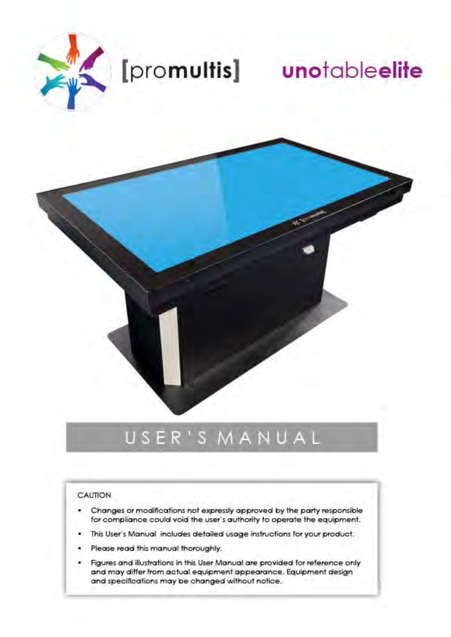

# [promultis] unotableelite

## USER'S MANUAL

#### CAUTION

- Changes or modifications not expressly approved by the party responsible ٠ for compliance could void the user's authority to operate the equipment.
- This User's Manual includes detailed usage instructions for your product.
- Please read this manual thoroughly.
- Figures and illustrations in this User Manual are provided for reference only and may differ from actual equipment appearance. Equipment design and specifications may be changed without notice.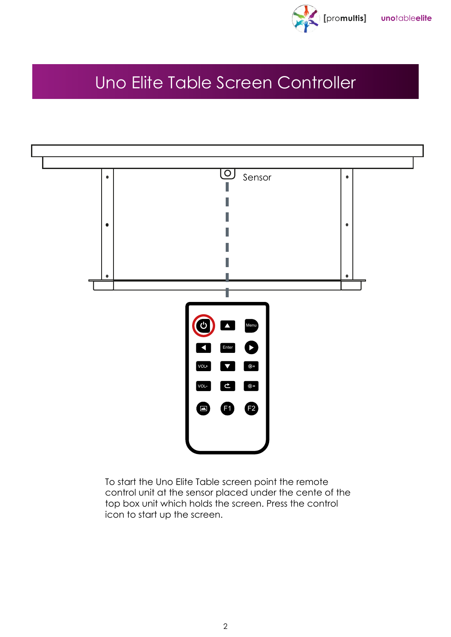

## Uno Elite Table Screen Controller



To start the Uno Elite Table screen point the remote control unit at the sensor placed under the cente of the top box unit which holds the screen. Press the control icon to start up the screen.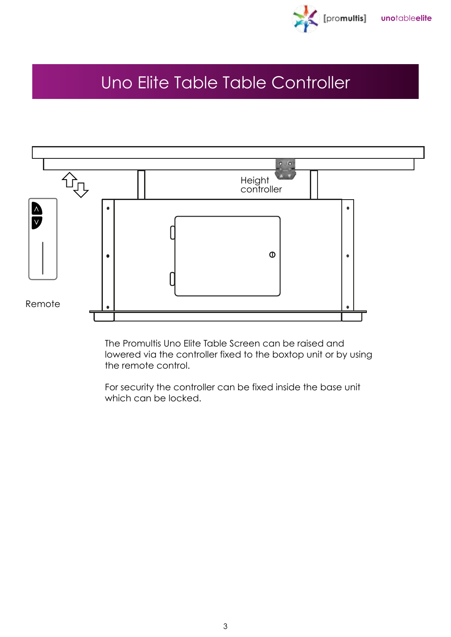

## Uno Elite Table Table Controller



The Promultis Uno Elite Table Screen can be raised and lowered via the controller fixed to the boxtop unit or by using the remote control.

For security the controller can be fixed inside the base unit which can be locked.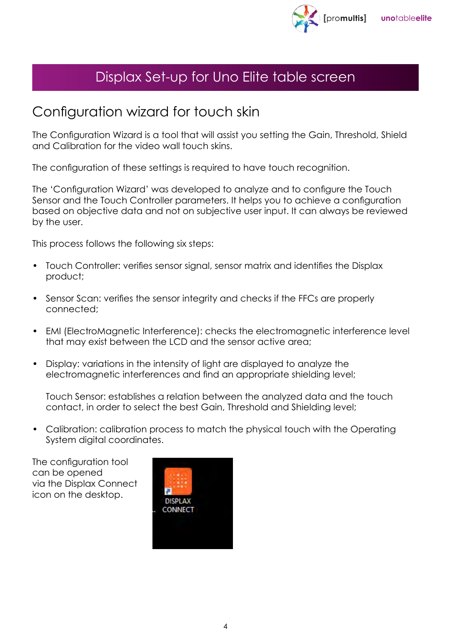

## Displax Set-up for Uno Elite table screen

## Configuration wizard for touch skin

The Configuration Wizard is a tool that will assist you setting the Gain, Threshold, Shield and Calibration for the video wall touch skins.

The configuration of these settings is required to have touch recognition.

The 'Configuration Wizard' was developed to analyze and to configure the Touch Sensor and the Touch Controller parameters. It helps you to achieve a configuration based on objective data and not on subjective user input. It can always be reviewed by the user.

This process follows the following six steps:

- Touch Controller: verifies sensor signal, sensor matrix and identifies the Displax product;
- Sensor Scan: verifies the sensor integrity and checks if the FFCs are properly connected;
- EMI (ElectroMagnetic Interference): checks the electromagnetic interference level that may exist between the LCD and the sensor active area;
- Display: variations in the intensity of light are displayed to analyze the electromagnetic interferences and find an appropriate shielding level;

Touch Sensor: establishes a relation between the analyzed data and the touch contact, in order to select the best Gain, Threshold and Shielding level;

• Calibration: calibration process to match the physical touch with the Operating System digital coordinates.

The configuration tool can be opened via the Displax Connect icon on the desktop.

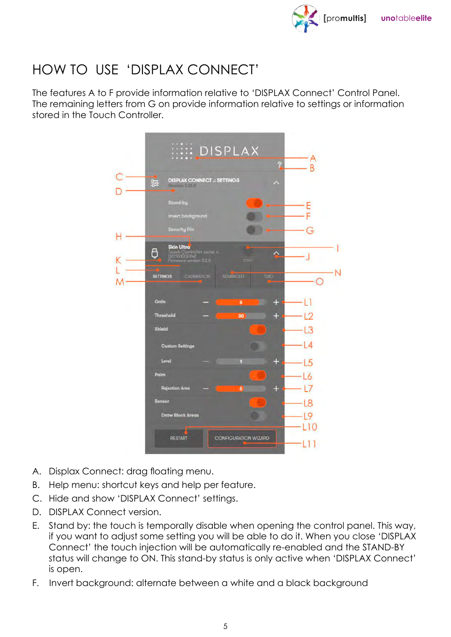

## HOW TO USE 'DISPLAX CONNECT'

The features A to F provide information relative to 'DISPLAX Connect' Control Panel. The remaining letters from G on provide information relative to settings or information stored in the Touch Controller.



- A. Displax Connect: drag floating menu.
- B. Help menu: shortcut keys and help per feature.
- C. Hide and show 'DISPLAX Connect' settings.
- D. DISPLAX Connect version.
- E. Stand by: the touch is temporally disable when opening the control panel. This way, if you want to adjust some setting you will be able to do it. When you close 'DISPLAX Connect' the touch injection will be automatically re-enabled and the STAND-BY status will change to ON. This stand-by status is only active when 'DISPLAX Connect' is open.
- F. Invert background: alternate between a white and a black background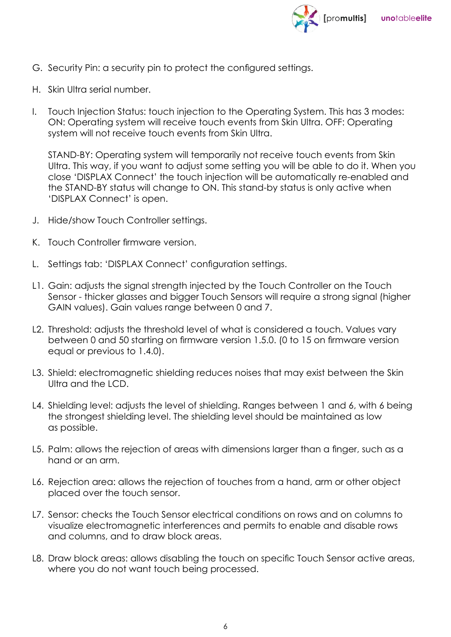

- G. Security Pin: a security pin to protect the configured settings.
- H. Skin Ultra serial number.
- I. Touch Injection Status: touch injection to the Operating System. This has 3 modes: ON: Operating system will receive touch events from Skin Ultra. OFF: Operating system will not receive touch events from Skin Ultra.

STAND-BY: Operating system will temporarily not receive touch events from Skin Ultra. This way, if you want to adjust some setting you will be able to do it. When you close 'DISPLAX Connect' the touch injection will be automatically re-enabled and the STAND-BY status will change to ON. This stand-by status is only active when 'DISPLAX Connect' is open.

- J. Hide/show Touch Controller settings.
- K. Touch Controller firmware version.
- L. Settings tab: 'DISPLAX Connect' configuration settings.
- L1. Gain: adjusts the signal strength injected by the Touch Controller on the Touch Sensor - thicker glasses and bigger Touch Sensors will require a strong signal (higher GAIN values). Gain values range between 0 and 7.
- L2. Threshold: adjusts the threshold level of what is considered a touch. Values vary between 0 and 50 starting on firmware version 1.5.0. (0 to 15 on firmware version equal or previous to 1.4.0).
- L3. Shield: electromagnetic shielding reduces noises that may exist between the Skin Ultra and the LCD.
- L4. Shielding level: adjusts the level of shielding. Ranges between 1 and 6, with 6 being the strongest shielding level. The shielding level should be maintained as low as possible.
- L5. Palm: allows the rejection of areas with dimensions larger than a finger, such as a hand or an arm.
- L6. Rejection area: allows the rejection of touches from a hand, arm or other object placed over the touch sensor.
- L7. Sensor: checks the Touch Sensor electrical conditions on rows and on columns to visualize electromagnetic interferences and permits to enable and disable rows and columns, and to draw block areas.
- L8. Draw block areas: allows disabling the touch on specific Touch Sensor active areas, where you do not want touch being processed.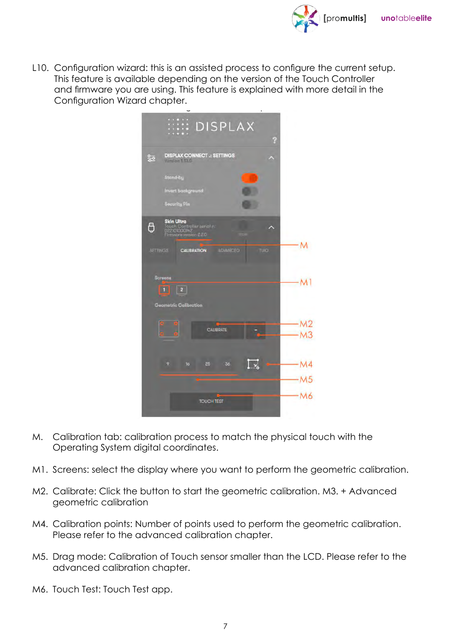

L10. Configuration wizard: this is an assisted process to configure the current setup. This feature is available depending on the version of the Touch Controller and firmware you are using. This feature is explained with more detail in the Configuration Wizard chapter.

| <b>EXAMPLE DISPLAX</b><br>န                                                                   |  |
|-----------------------------------------------------------------------------------------------|--|
| <b>DISPLAX CONNECT .: SETTINGS</b><br>읉<br>Varslon 1, 13.0                                    |  |
| Stand-by                                                                                      |  |
| <b>Invert background</b>                                                                      |  |
| <b>Security Pin</b>                                                                           |  |
| <b>Skin Ultra</b><br>O<br>Touch Controller senal n:<br>022101000142<br>Firmware version 2.2.0 |  |
| <b>ADVANCED</b><br><b>TUO</b><br><b>SETTINGS</b><br><b>CALIBRATION</b>                        |  |
| Screens                                                                                       |  |
| $\overline{2}$<br>颐                                                                           |  |
| <b>Geometric Calibration</b>                                                                  |  |
| CALIBRATE                                                                                     |  |
|                                                                                               |  |
| [ ∝]<br>q<br>16<br>25<br>36                                                                   |  |
|                                                                                               |  |
| <b>TOUCH TEST</b>                                                                             |  |

- M. Calibration tab: calibration process to match the physical touch with the Operating System digital coordinates.
- M1. Screens: select the display where you want to perform the geometric calibration.
- M2. Calibrate: Click the button to start the geometric calibration. M3. + Advanced geometric calibration
- M4. Calibration points: Number of points used to perform the geometric calibration. Please refer to the advanced calibration chapter.
- M5. Drag mode: Calibration of Touch sensor smaller than the LCD. Please refer to the advanced calibration chapter.
- M6. Touch Test: Touch Test app.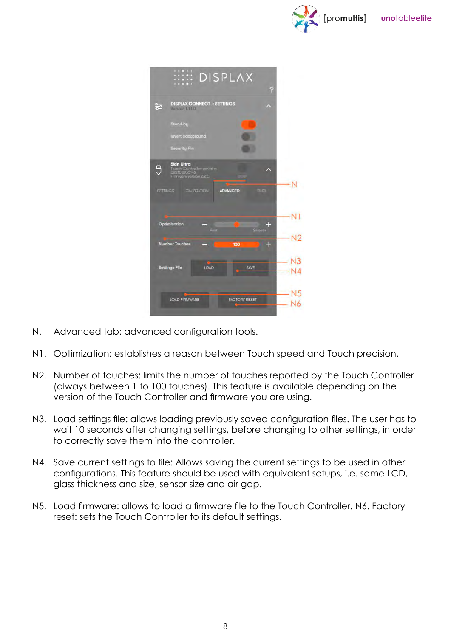

|                      | <b>EXAMPLE DISPLAX</b><br>က္စ                                                                                                     |  |
|----------------------|-----------------------------------------------------------------------------------------------------------------------------------|--|
| 鸮                    | <b>DISPLAX CONNECT .: SETTINGS</b><br>Version 1.13.0                                                                              |  |
|                      | Stand-by<br><b>Invert background</b><br>Security Pin                                                                              |  |
| Ô<br><b>SETTINGS</b> | <b>Skin Ultra</b><br>Touch Cuntrolle senatin<br>022101000142<br>Firmware yersion 2.2.0<br>CAUBRATION<br><b>ADVANCED</b><br>TUICH. |  |
|                      | Optimization<br>٠                                                                                                                 |  |
|                      | <b>Smooth</b><br>Four<br><b>Number Touches</b><br>÷<br>100                                                                        |  |
|                      | <b>Settings File</b><br><b>LOAD</b><br><b>SAVE</b>                                                                                |  |
|                      | <b>LOAD FIRMWARE</b><br><b>FACTORY RESET</b>                                                                                      |  |

- N. Advanced tab: advanced configuration tools.
- N1. Optimization: establishes a reason between Touch speed and Touch precision.
- N2. Number of touches: limits the number of touches reported by the Touch Controller (always between 1 to 100 touches). This feature is available depending on the version of the Touch Controller and firmware you are using.
- N3. Load settings file: allows loading previously saved configuration files. The user has to wait 10 seconds after changing settings, before changing to other settings, in order to correctly save them into the controller.
- N4. Save current settings to file: Allows saving the current settings to be used in other configurations. This feature should be used with equivalent setups, i.e. same LCD, glass thickness and size, sensor size and air gap.
- N5. Load firmware: allows to load a firmware file to the Touch Controller. N6. Factory reset: sets the Touch Controller to its default settings.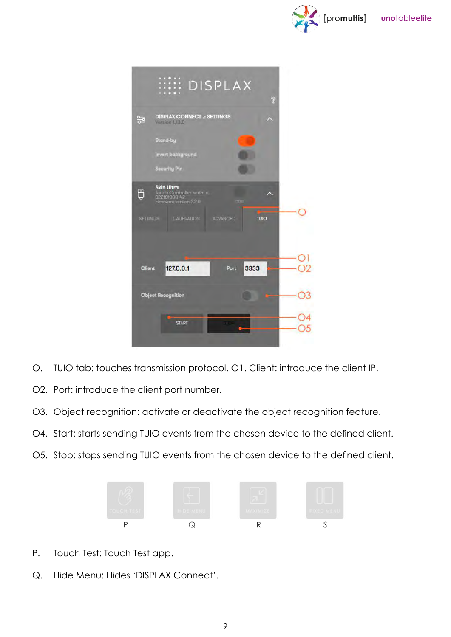



- O. TUIO tab: touches transmission protocol. O1. Client: introduce the client IP.
- O2. Port: introduce the client port number.
- O3. Object recognition: activate or deactivate the object recognition feature.
- O4. Start: starts sending TUIO events from the chosen device to the defined client.
- O5. Stop: stops sending TUIO events from the chosen device to the defined client.



- P. Touch Test: Touch Test app.
- Q. Hide Menu: Hides 'DISPLAX Connect'.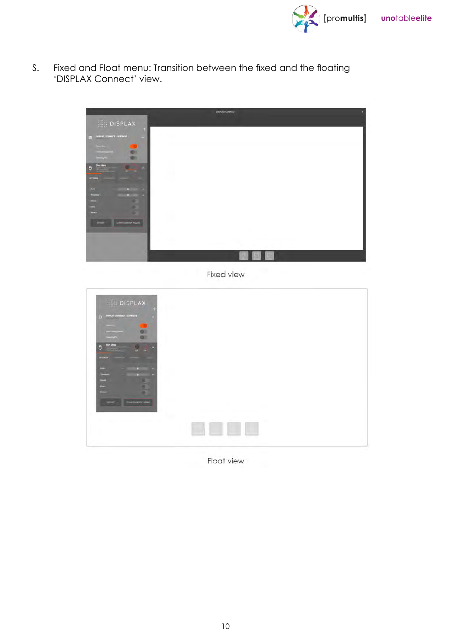

S. Fixed and Float menu: Transition between the fixed and the floating 'DISPLAX Connect' view.



Float view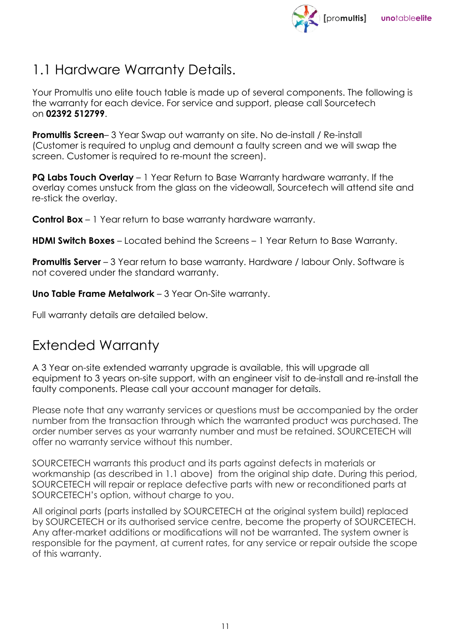

## 1.1 Hardware Warranty Details.

Your Promultis uno elite touch table is made up of several components. The following is the warranty for each device. For service and support, please call Sourcetech on **02392 512799**.

**Promultis Screen**– 3 Year Swap out warranty on site. No de-install / Re-install (Customer is required to unplug and demount a faulty screen and we will swap the screen. Customer is required to re-mount the screen).

**PQ Labs Touch Overlay** – 1 Year Return to Base Warranty hardware warranty. If the overlay comes unstuck from the glass on the videowall, Sourcetech will attend site and re-stick the overlay.

**Control Box** – 1 Year return to base warranty hardware warranty.

**HDMI Switch Boxes** – Located behind the Screens – 1 Year Return to Base Warranty.

**Promultis Server** – 3 Year return to base warranty. Hardware / labour Only. Software is not covered under the standard warranty.

**Uno Table Frame Metalwork** – 3 Year On-Site warranty.

Full warranty details are detailed below.

## Extended Warranty

A 3 Year on-site extended warranty upgrade is available, this will upgrade all equipment to 3 years on-site support, with an engineer visit to de-install and re-install the faulty components. Please call your account manager for details.

Please note that any warranty services or questions must be accompanied by the order number from the transaction through which the warranted product was purchased. The order number serves as your warranty number and must be retained. SOURCETECH will offer no warranty service without this number.

SOURCETECH warrants this product and its parts against defects in materials or workmanship (as described in 1.1 above) from the original ship date. During this period, SOURCETECH will repair or replace defective parts with new or reconditioned parts at SOURCETECH's option, without charge to you.

All original parts (parts installed by SOURCETECH at the original system build) replaced by SOURCETECH or its authorised service centre, become the property of SOURCETECH. Any after-market additions or modifications will not be warranted. The system owner is responsible for the payment, at current rates, for any service or repair outside the scope of this warranty.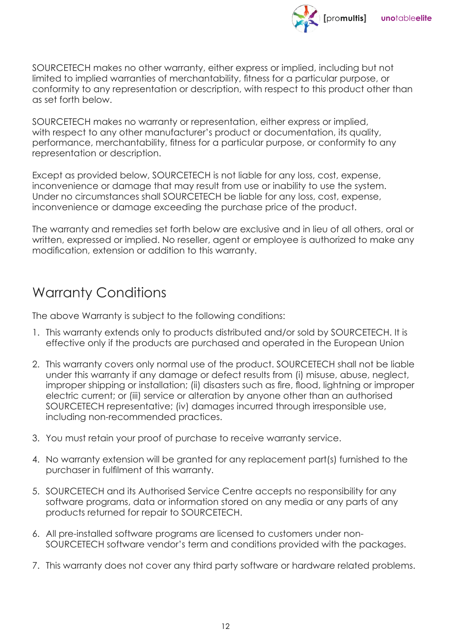

SOURCETECH makes no other warranty, either express or implied, including but not limited to implied warranties of merchantability, fitness for a particular purpose, or conformity to any representation or description, with respect to this product other than as set forth below.

SOURCETECH makes no warranty or representation, either express or implied, with respect to any other manufacturer's product or documentation, its quality, performance, merchantability, fitness for a particular purpose, or conformity to any representation or description.

Except as provided below, SOURCETECH is not liable for any loss, cost, expense, inconvenience or damage that may result from use or inability to use the system. Under no circumstances shall SOURCETECH be liable for any loss, cost, expense, inconvenience or damage exceeding the purchase price of the product.

The warranty and remedies set forth below are exclusive and in lieu of all others, oral or written, expressed or implied. No reseller, agent or employee is authorized to make any modification, extension or addition to this warranty.

## Warranty Conditions

The above Warranty is subject to the following conditions:

- 1. This warranty extends only to products distributed and/or sold by SOURCETECH. It is effective only if the products are purchased and operated in the European Union
- 2. This warranty covers only normal use of the product. SOURCETECH shall not be liable under this warranty if any damage or defect results from (i) misuse, abuse, neglect, improper shipping or installation; (ii) disasters such as fire, flood, lightning or improper electric current; or (iii) service or alteration by anyone other than an authorised SOURCETECH representative; (iv) damages incurred through irresponsible use, including non-recommended practices.
- 3. You must retain your proof of purchase to receive warranty service.
- 4. No warranty extension will be granted for any replacement part(s) furnished to the purchaser in fulfilment of this warranty.
- 5. SOURCETECH and its Authorised Service Centre accepts no responsibility for any software programs, data or information stored on any media or any parts of any products returned for repair to SOURCETECH.
- 6. All pre-installed software programs are licensed to customers under non-SOURCETECH software vendor's term and conditions provided with the packages.
- 7. This warranty does not cover any third party software or hardware related problems.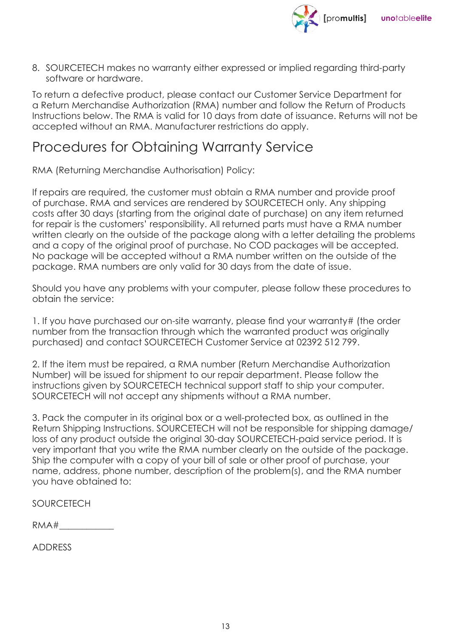

8. SOURCETECH makes no warranty either expressed or implied regarding third-party software or hardware.

To return a defective product, please contact our Customer Service Department for a Return Merchandise Authorization (RMA) number and follow the Return of Products Instructions below. The RMA is valid for 10 days from date of issuance. Returns will not be accepted without an RMA. Manufacturer restrictions do apply.

#### Procedures for Obtaining Warranty Service

RMA (Returning Merchandise Authorisation) Policy:

If repairs are required, the customer must obtain a RMA number and provide proof of purchase. RMA and services are rendered by SOURCETECH only. Any shipping costs after 30 days (starting from the original date of purchase) on any item returned for repair is the customers' responsibility. All returned parts must have a RMA number written clearly on the outside of the package along with a letter detailing the problems and a copy of the original proof of purchase. No COD packages will be accepted. No package will be accepted without a RMA number written on the outside of the package. RMA numbers are only valid for 30 days from the date of issue.

Should you have any problems with your computer, please follow these procedures to obtain the service:

1. If you have purchased our on-site warranty, please find your warranty# (the order number from the transaction through which the warranted product was originally purchased) and contact SOURCETECH Customer Service at 02392 512 799.

2. If the item must be repaired, a RMA number (Return Merchandise Authorization Number) will be issued for shipment to our repair department. Please follow the instructions given by SOURCETECH technical support staff to ship your computer. SOURCETECH will not accept any shipments without a RMA number.

3. Pack the computer in its original box or a well-protected box, as outlined in the Return Shipping Instructions. SOURCETECH will not be responsible for shipping damage/ loss of any product outside the original 30-day SOURCETECH-paid service period. It is very important that you write the RMA number clearly on the outside of the package. Ship the computer with a copy of your bill of sale or other proof of purchase, your name, address, phone number, description of the problem(s), and the RMA number you have obtained to:

SOURCETECH

 $RMA#$ 

ADDRESS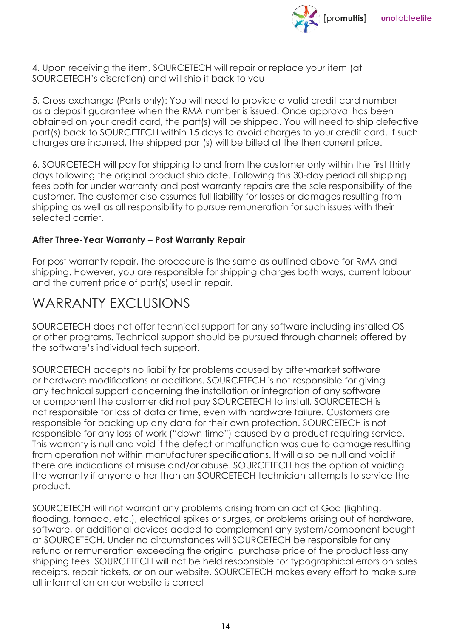

4. Upon receiving the item, SOURCETECH will repair or replace your item (at SOURCETECH's discretion) and will ship it back to you

5. Cross-exchange (Parts only): You will need to provide a valid credit card number as a deposit guarantee when the RMA number is issued. Once approval has been obtained on your credit card, the part(s) will be shipped. You will need to ship defective part(s) back to SOURCETECH within 15 days to avoid charges to your credit card. If such charges are incurred, the shipped part(s) will be billed at the then current price.

6. SOURCETECH will pay for shipping to and from the customer only within the first thirty days following the original product ship date. Following this 30-day period all shipping fees both for under warranty and post warranty repairs are the sole responsibility of the customer. The customer also assumes full liability for losses or damages resulting from shipping as well as all responsibility to pursue remuneration for such issues with their selected carrier.

#### **After Three-Year Warranty – Post Warranty Repair**

For post warranty repair, the procedure is the same as outlined above for RMA and shipping. However, you are responsible for shipping charges both ways, current labour and the current price of part(s) used in repair.

#### WARRANTY FXCLUSIONS

SOURCETECH does not offer technical support for any software including installed OS or other programs. Technical support should be pursued through channels offered by the software's individual tech support.

SOURCETECH accepts no liability for problems caused by after-market software or hardware modifications or additions. SOURCETECH is not responsible for giving any technical support concerning the installation or integration of any software or component the customer did not pay SOURCETECH to install. SOURCETECH is not responsible for loss of data or time, even with hardware failure. Customers are responsible for backing up any data for their own protection. SOURCETECH is not responsible for any loss of work ("down time") caused by a product requiring service. This warranty is null and void if the defect or malfunction was due to damage resulting from operation not within manufacturer specifications. It will also be null and void if there are indications of misuse and/or abuse. SOURCETECH has the option of voiding the warranty if anyone other than an SOURCETECH technician attempts to service the product.

SOURCETECH will not warrant any problems arising from an act of God (lighting, flooding, tornado, etc.), electrical spikes or surges, or problems arising out of hardware, software, or additional devices added to complement any system/component bought at SOURCETECH. Under no circumstances will SOURCETECH be responsible for any refund or remuneration exceeding the original purchase price of the product less any shipping fees. SOURCETECH will not be held responsible for typographical errors on sales receipts, repair tickets, or on our website. SOURCETECH makes every effort to make sure all information on our website is correct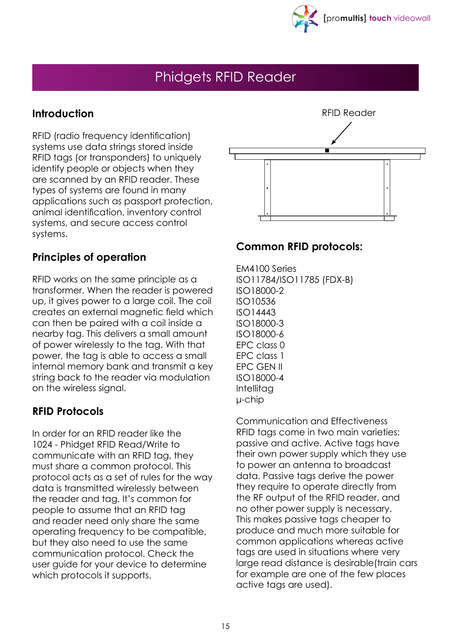

## Phidgets RFID Reader

#### **Introduction**

RFID (radio frequency identification) systems use data strings stored inside RFID tags (or transponders) to uniquely identify people or objects when they are scanned by an RFID reader. These types of systems are found in many applications such as passport protection, animal identification, inventory control systems, and secure access control systems.



#### **Principles of operation**

RFID works on the same principle as a transformer. When the reader is powered up, it gives power to a large coil. The coil creates an external magnetic field which can then be paired with a coil inside a nearby tag. This delivers a small amount of power wirelessly to the tag. With that power, the tag is able to access a small internal memory bank and transmit a key string back to the reader via modulation on the wireless signal.

#### **RFID Protocols**

In order for an RFID reader like the 1024 - Phidget RFID Read/Write to communicate with an RFID tag, they must share a common protocol. This protocol acts as a set of rules for the way data is transmitted wirelessly between the reader and tag. It's common for people to assume that an RFID tag and reader need only share the same operating frequency to be compatible, but they also need to use the same communication protocol. Check the user guide for your device to determine which protocols it supports.

#### **Common RFID protocols:**

EM4100 Series ISO11784/ISO11785 (FDX-B) ISO18000-2 ISO10536 ISO14443 ISO18000-3 ISO18000-6 EPC class 0 EPC class 1 EPC GEN II ISO18000-4 Intellitag μ-chip

Communication and Effectiveness RFID tags come in two main varieties: passive and active. Active tags have their own power supply which they use to power an antenna to broadcast data. Passive tags derive the power they require to operate directly from the RF output of the RFID reader, and no other power supply is necessary. This makes passive tags cheaper to produce and much more suitable for common applications whereas active tags are used in situations where very large read distance is desirable(train cars for example are one of the few places active tags are used).